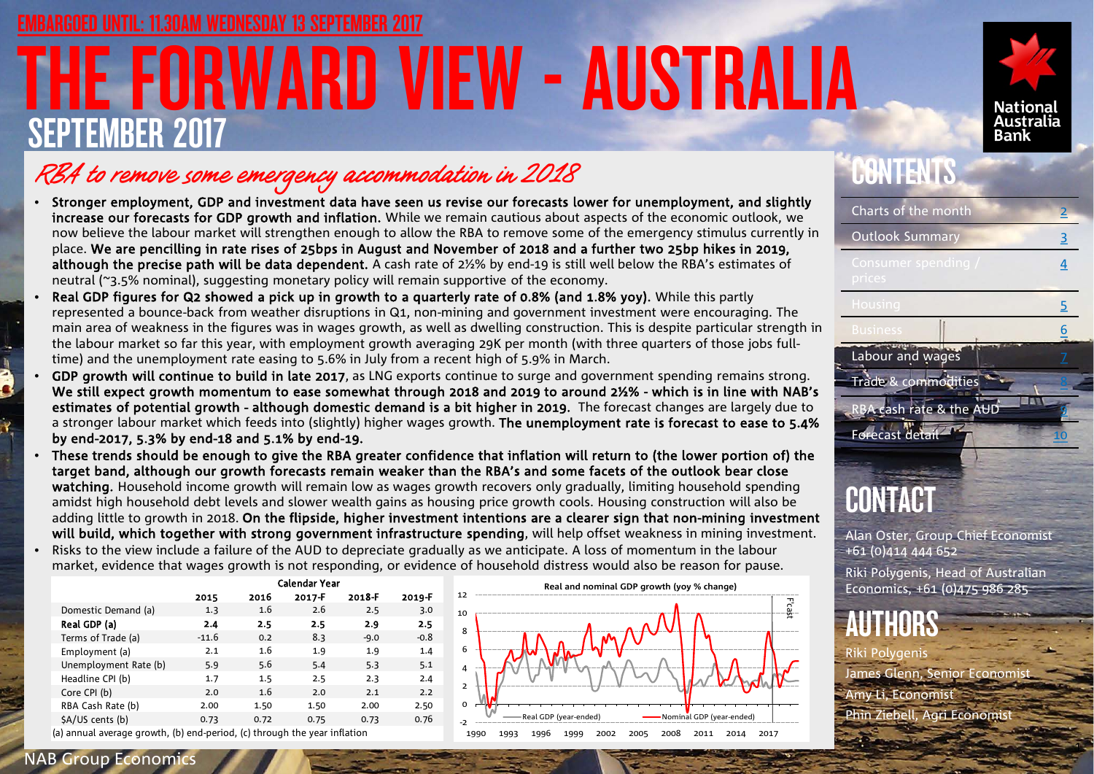# ORWARD VIEW - AUSTRALIA SEPTEMBER 2017 IL: 11.30AM WEDNESDAY 13 SEPTEMBER 2017



### RBA to remove some emergency accommodation in 2018

- Stronger employment, GDP and investment data have seen us revise our forecasts lower for unemployment, and slightly increase our forecasts for GDP growth and inflation. While we remain cautious about aspects of the economic outlook, we now believe the labour market will strengthen enough to allow the RBA to remove some of the emergency stimulus currently in place. We are pencilling in rate rises of 25bps in August and November of 2018 and a further two 25bp hikes in 2019, although the precise path will be data dependent. A cash rate of 2½% by end-19 is still well below the RBA's estimates of neutral (~3.5% nominal), suggesting monetary policy will remain supportive of the economy.
- Real GDP figures for Q2 showed a pick up in growth to a quarterly rate of 0.8% (and 1.8% yoy). While this partly represented a bounce-back from weather disruptions in Q1, non-mining and government investment were encouraging. The main area of weakness in the figures was in wages growth, as well as dwelling construction. This is despite particular strength in the labour market so far this year, with employment growth averaging 29K per month (with three quarters of those jobs fulltime) and the unemployment rate easing to 5.6% in July from a recent high of 5.9% in March.
- GDP growth will continue to build in late 2017, as LNG exports continue to surge and government spending remains strong. We still expect growth momentum to ease somewhat through 2018 and 2019 to around 2½% - which is in line with NAB's estimates of potential growth - although domestic demand is a bit higher in 2019. The forecast changes are largely due to a stronger labour market which feeds into (slightly) higher wages growth. The unemployment rate is forecast to ease to 5.4% by end-2017, 5.3% by end-18 and 5.1% by end-19.
- will build, which together with strong government infrastructure spending, will help offset weakness in mining invest<br>Risks to the view include a failure of the AUD to depreciate gradually as we anticipate. A loss of momen • These trends should be enough to give the RBA greater confidence that inflation will return to (the lower portion of) the target band, although our growth forecasts remain weaker than the RBA's and some facets of the outlook bear close watching. Household income growth will remain low as wages growth recovers only gradually, limiting household spending amidst high household debt levels and slower wealth gains as housing price growth cools. Housing construction will also be adding little to growth in 2018. On the flipside, higher investment intentions are a clearer sign that non-mining investment will build, which together with strong government infrastructure spending, will help offset weakness in mining investment. market, evidence that wages growth is not responding, or evidence of household distress would also be reason for pause.

|                       |         |      | Calendar Year |        |        |
|-----------------------|---------|------|---------------|--------|--------|
|                       | 2015    | 2016 | 2017-F        | 2018-F | 2019-F |
| Domestic Demand (a)   | 1.3     | 1.6  | 2.6           | 2.5    | 3.0    |
| Real GDP (a)          | 2.4     | 2.5  | 2.5           | 2.9    | 2.5    |
| Terms of Trade (a)    | $-11.6$ | 0.2  | 8.3           | $-9.0$ | $-0.8$ |
| Employment (a)        | 2.1     | 1.6  | 1.9           | 1.9    | 1.4    |
| Unemployment Rate (b) | 5.9     | 5.6  | 5.4           | 5.3    | 5.1    |
| Headline CPI (b)      | 1.7     | 1.5  | 2.5           | 2.3    | 2.4    |
| Core CPI (b)          | 2.0     | 1.6  | 2.0           | 2.1    | 2.2    |
| RBA Cash Rate (b)     | 2.00    | 1.50 | 1.50          | 2.00   | 2.50   |
| \$A/US cents (b)      | 0.73    | 0.72 | 0.75          | 0.73   | 0.76   |
|                       |         | .    |               |        |        |

(a) annual average growth, (b) end-period, (c) through the year inflation



|  | <b>CONTENTS</b> |
|--|-----------------|
|  |                 |

| Charts of the month           | 2              |
|-------------------------------|----------------|
| <b>Outlook Summary</b>        | 3              |
| Consumer spending /<br>prices | 4              |
| Housing                       | 5              |
| <b>Business</b>               | $\frac{6}{5}$  |
| Labour and wages              | $\overline{Z}$ |
| Trade & commodities           |                |
| RBA cash rate & the AUD       |                |
| <b>Forecast detail</b>        | 10             |
|                               |                |

## **CONTACT**

Alan Oster, Group Chief Economist +61 (0)414 444 652

Riki Polygenis, Head of Australian Economics, +61 (0)475 986 285



Riki Polygenis James Glenn, Senior Economis Amy Li, Economist Phin Ziebell, Agri Economist

1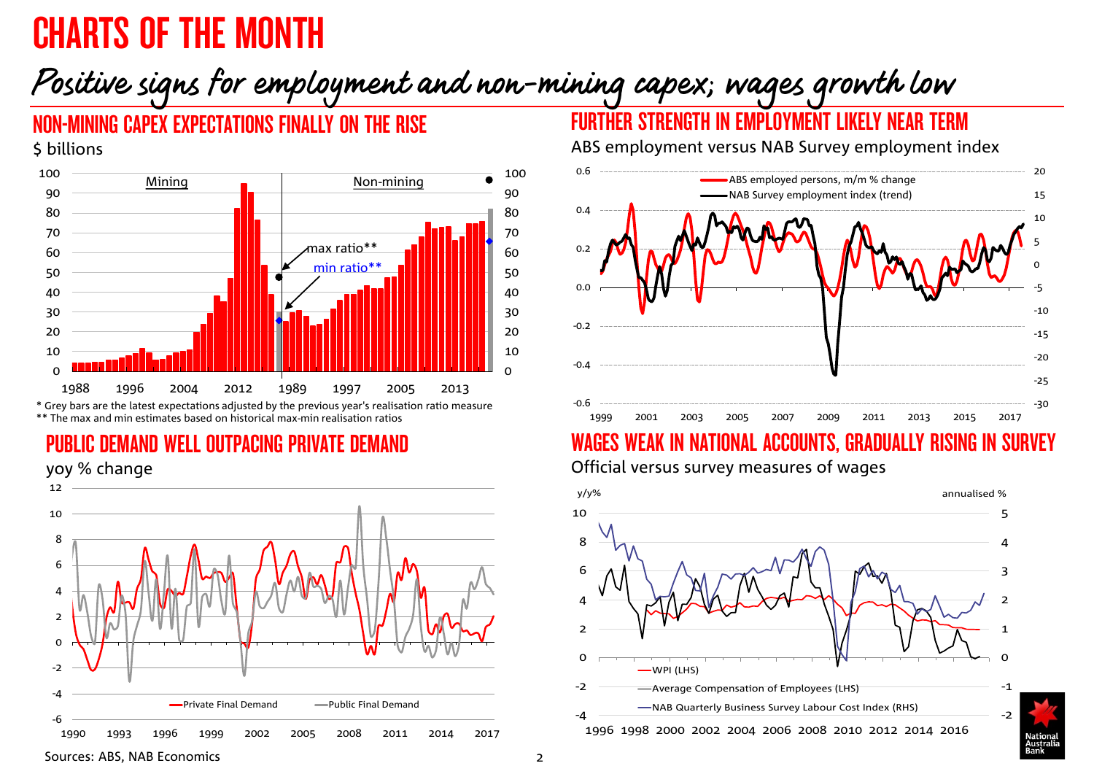# <span id="page-1-0"></span>CHARTS OF THE MONTH

### Positive signs for employment and non-mining capex; wages growth low

### NON-MINING CAPEX EXPECTATIONS FINALLY ON THE RISE

#### \$ billions



\* Grey bars are the latest expectations adjusted by the previous year's realisation ratio measure \*\* The max and min estimates based on historical max-min realisation ratios

### PUBLIC DEMAND WELL OUTPACING PRIVATE DEMAND





### FURTHER STRENGTH IN EMPLOYMENT LIKELY NEAR TERM

ABS employment versus NAB Survey employment index



### IN NATIONAL ACCOUNTS, GRADUALLY

Official versus survey measures of wages



Sources: ABS, NAB Economics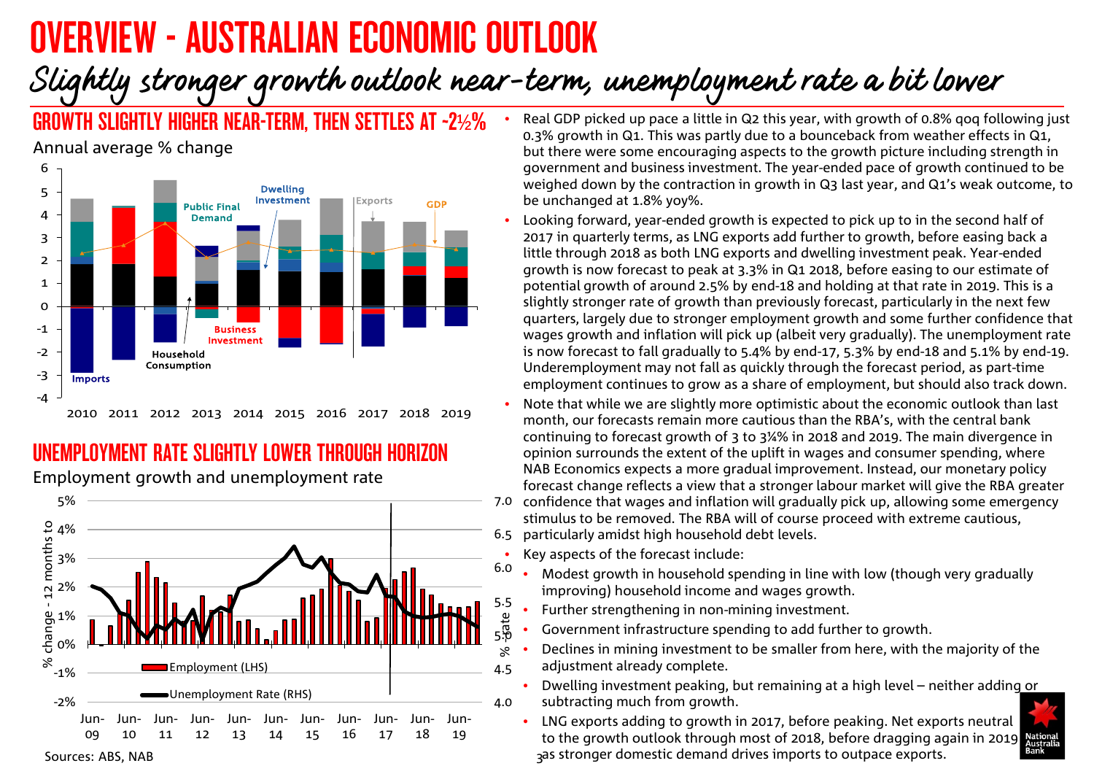# <span id="page-2-0"></span>OVERVIEW - AUSTRALIAN ECONOMIC OUTLOOK

## Slightly stronger growth outlook near-term, unemployment rate a bit lower

GROWTH SLIGHTLY HIGHER NEAR-TERM, THEN SETTLES AT ~2½%

Annual average % change



### UNEMPLOYMENT RATE SLIGHTLY LOWER THROUGH HORIZON

Employment growth and unemployment rate



- Real GDP picked up pace a little in Q2 this year, with growth of 0.8% qoq following just 0.3% growth in Q1. This was partly due to a bounceback from weather effects in Q1, but there were some encouraging aspects to the growth picture including strength in government and business investment. The year-ended pace of growth continued to be weighed down by the contraction in growth in Q3 last year, and Q1's weak outcome, to be unchanged at 1.8% yoy%.
- Looking forward, year-ended growth is expected to pick up to in the second half of 2017 in quarterly terms, as LNG exports add further to growth, before easing back a little through 2018 as both LNG exports and dwelling investment peak. Year-ended growth is now forecast to peak at 3.3% in Q1 2018, before easing to our estimate of potential growth of around 2.5% by end-18 and holding at that rate in 2019. This is a slightly stronger rate of growth than previously forecast, particularly in the next few quarters, largely due to stronger employment growth and some further confidence that wages growth and inflation will pick up (albeit very gradually). The unemployment rate is now forecast to fall gradually to 5.4% by end-17, 5.3% by end-18 and 5.1% by end-19. Underemployment may not fall as quickly through the forecast period, as part-time employment continues to grow as a share of employment, but should also track down.
- Note that while we are slightly more optimistic about the economic outlook than last month, our forecasts remain more cautious than the RBA's, with the central bank continuing to forecast growth of 3 to 3¼% in 2018 and 2019. The main divergence in opinion surrounds the extent of the uplift in wages and consumer spending, where NAB Economics expects a more gradual improvement. Instead, our monetary policy forecast change reflects a view that a stronger labour market will give the RBA greater confidence that wages and inflation will gradually pick up, allowing some emergency stimulus to be removed. The RBA will of course proceed with extreme cautious, particularly amidst high household debt levels. 6.5
- Key aspects of the forecast include:
	- Modest growth in household spending in line with low (though very gradually improving) household income and wages growth.
	- Further strengthening in non-mining investment.
	- Government infrastructure spending to add further to growth.
	- Declines in mining investment to be smaller from here, with the majority of the adjustment already complete.
	- Dwelling investment peaking, but remaining at a high level neither adding or subtracting much from growth.
	- 3 as stronger domestic demand drives imports to outpace exports. • LNG exports adding to growth in 2017, before peaking. Net exports neutral to the growth outlook through most of 2018, before dragging again in 2019

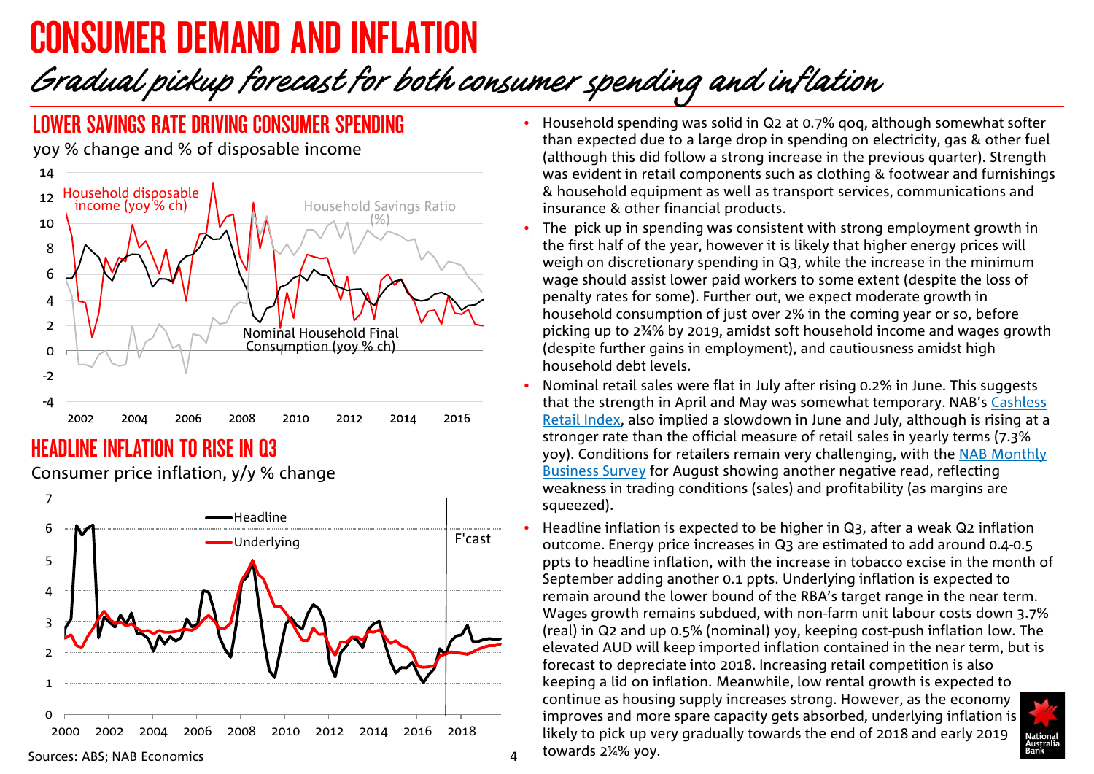## CONSUMER DEMAND AND INFLATION

## Gradual pickup forecast for both consumer spending and inflation

### LOWER SAVINGS RATE DRIVING CONSUMER SPENDING

yoy % change and % of disposable income



### HEADLINE INFLATION TO RISE IN Q3

Consumer price inflation, y/y % change



- Household spending was solid in Q2 at 0.7% qoq, although somewhat softer than expected due to a large drop in spending on electricity, gas & other fuel (although this did follow a strong increase in the previous quarter). Strength was evident in retail components such as clothing & footwear and furnishings & household equipment as well as transport services, communications and insurance & other financial products.
- The pick up in spending was consistent with strong employment growth in the first half of the year, however it is likely that higher energy prices will weigh on discretionary spending in Q3, while the increase in the minimum wage should assist lower paid workers to some extent (despite the loss of penalty rates for some). Further out, we expect moderate growth in household consumption of just over 2% in the coming year or so, before picking up to 2¾% by 2019, amidst soft household income and wages growth (despite further gains in employment), and cautiousness amidst high household debt levels.
- Nominal retail sales were flat in July after rising 0.2% in June. This suggests that the strength in April and May was somewhat temporary. NAB's [Cashless](https://business.nab.com.au/nab-monthly-cashless-retail-sales-index-july-2017-25886/)  [Retail Index,](https://business.nab.com.au/nab-monthly-cashless-retail-sales-index-july-2017-25886/) also implied a slowdown in June and July, although is rising at a stronger rate than the official measure of retail sales in yearly terms (7.3% yoy). Conditions for retailers remain very challenging, with the [NAB Monthly](https://business.nab.com.au/nab-monthly-business-survey-august-2017-26268/)  [Business Survey](https://business.nab.com.au/nab-monthly-business-survey-august-2017-26268/) for August showing another negative read, reflecting weakness in trading conditions (sales) and profitability (as margins are squeezed).
- Headline inflation is expected to be higher in Q3, after a weak Q2 inflation outcome. Energy price increases in Q3 are estimated to add around 0.4-0.5 ppts to headline inflation, with the increase in tobacco excise in the month of September adding another 0.1 ppts. Underlying inflation is expected to remain around the lower bound of the RBA's target range in the near term. Wages growth remains subdued, with non-farm unit labour costs down 3.7% (real) in Q2 and up 0.5% (nominal) yoy, keeping cost-push inflation low. The elevated AUD will keep imported inflation contained in the near term, but is forecast to depreciate into 2018. Increasing retail competition is also keeping a lid on inflation. Meanwhile, low rental growth is expected to continue as housing supply increases strong. However, as the economy improves and more spare capacity gets absorbed, underlying inflation is likely to pick up very gradually towards the end of 2018 and early 2019  $\alpha$  towards 2¼% yoy.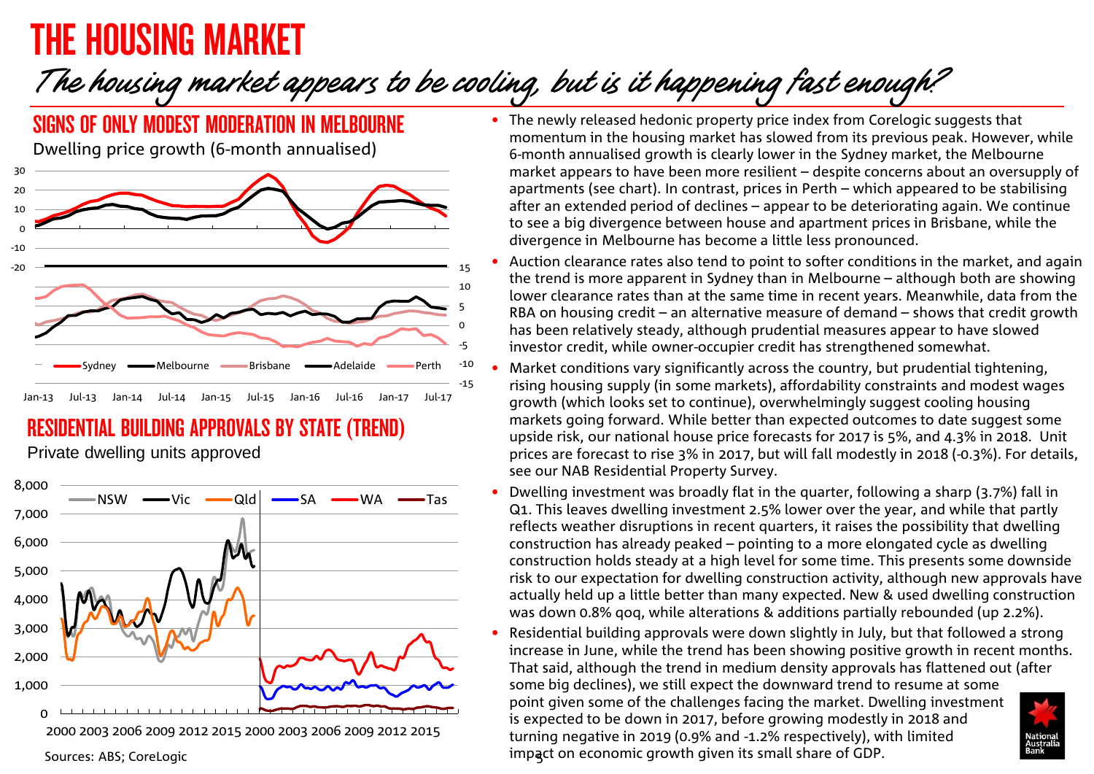# <span id="page-4-0"></span>THE HOUSING MARKET

## The housing market appears to be cooling, but is it happening fast enough?



### RESIDENTIAL BUILDING APPROVALS BY STATE (TREND)

Private dwelling units approved



- The newly released hedonic property price index from Corelogic suggests that momentum in the housing market has slowed from its previous peak. However, while 6-month annualised growth is clearly lower in the Sydney market, the Melbourne market appears to have been more resilient – despite concerns about an oversupply of apartments (see chart). In contrast, prices in Perth – which appeared to be stabilising after an extended period of declines – appear to be deteriorating again. We continue to see a big divergence between house and apartment prices in Brisbane, while the divergence in Melbourne has become a little less pronounced.
- Auction clearance rates also tend to point to softer conditions in the market, and again the trend is more apparent in Sydney than in Melbourne – although both are showing lower clearance rates than at the same time in recent years. Meanwhile, data from the RBA on housing credit – an alternative measure of demand – shows that credit growth has been relatively steady, although prudential measures appear to have slowed investor credit, while owner-occupier credit has strengthened somewhat.
- Market conditions vary significantly across the country, but prudential tightening, rising housing supply (in some markets), affordability constraints and modest wages growth (which looks set to continue), overwhelmingly suggest cooling housing markets going forward. While better than expected outcomes to date suggest some upside risk, our national house price forecasts for 2017 is 5%, and 4.3% in 2018. Unit prices are forecast to rise 3% in 2017, but will fall modestly in 2018 (-0.3%). For details, see our NAB Residential Property Survey.
- Dwelling investment was broadly flat in the quarter, following a sharp (3.7%) fall in Q1. This leaves dwelling investment 2.5% lower over the year, and while that partly reflects weather disruptions in recent quarters, it raises the possibility that dwelling construction has already peaked – pointing to a more elongated cycle as dwelling construction holds steady at a high level for some time. This presents some downside risk to our expectation for dwelling construction activity, although new approvals have actually held up a little better than many expected. New & used dwelling construction was down 0.8% qoq, while alterations & additions partially rebounded (up 2.2%).
- Residential building approvals were down slightly in July, but that followed a strong increase in June, while the trend has been showing positive growth in recent months. That said, although the trend in medium density approvals has flattened out (after some big declines), we still expect the downward trend to resume at some point given some of the challenges facing the market. Dwelling investment is expected to be down in 2017, before growing modestly in 2018 and turning negative in 2019 (0.9% and -1.2% respectively), with limited impact on economic growth given its small share of GDP.

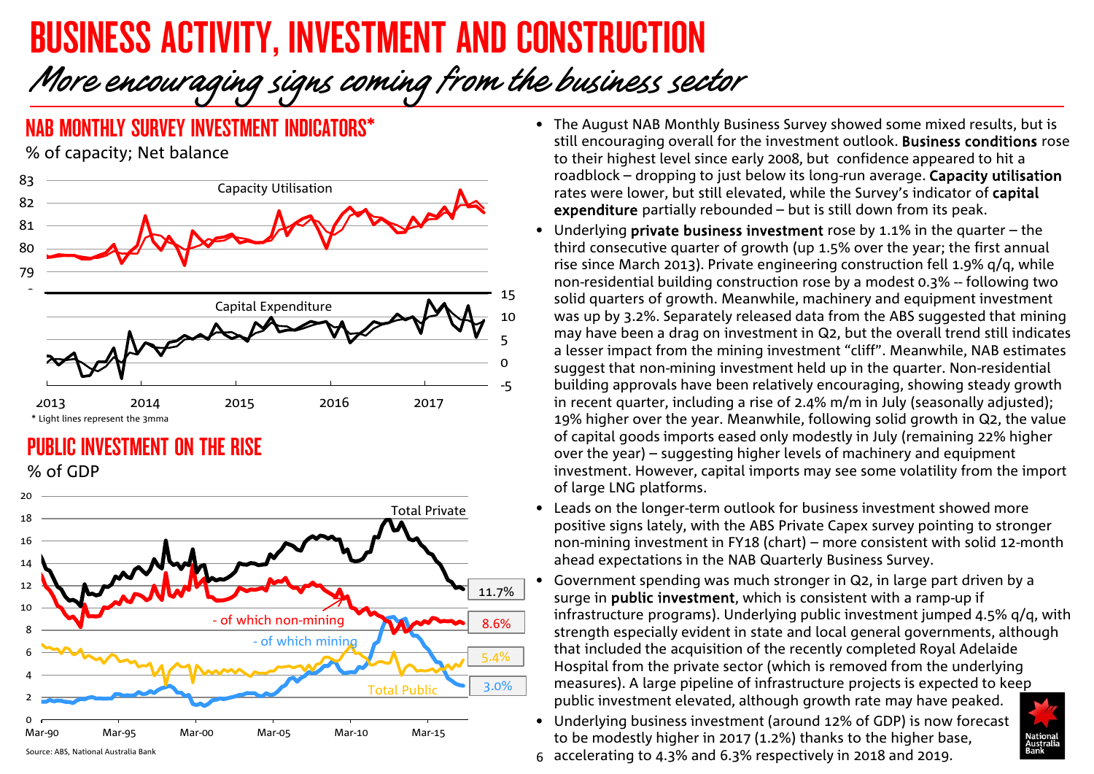# <span id="page-5-0"></span>BUSINESS ACTIVITY, INVESTMENT AND CONSTRUCTION

# More encouraging signs coming from the business sector

### NAB MONTHLY SURVEY INVESTMENT INDICATORS\*

% of capacity; Net balance



### PUBLIC INVESTMENT ON THE RISE

% of GDP



- The August NAB Monthly Business Survey showed some mixed results, but is still encouraging overall for the investment outlook. Business conditions rose to their highest level since early 2008, but confidence appeared to hit a roadblock – dropping to just below its long-run average. Capacity utilisation rates were lower, but still elevated, while the Survey's indicator of capital expenditure partially rebounded – but is still down from its peak.
- Underlying private business investment rose by 1.1% in the quarter the third consecutive quarter of growth (up 1.5% over the year; the first annual rise since March 2013). Private engineering construction fell 1.9% q/q, while non-residential building construction rose by a modest 0.3% -- following two solid quarters of growth. Meanwhile, machinery and equipment investment was up by 3.2%. Separately released data from the ABS suggested that mining may have been a drag on investment in Q2, but the overall trend still indicates a lesser impact from the mining investment "cliff". Meanwhile, NAB estimates suggest that non-mining investment held up in the quarter. Non-residential building approvals have been relatively encouraging, showing steady growth in recent quarter, including a rise of 2.4% m/m in July (seasonally adjusted); 19% higher over the year. Meanwhile, following solid growth in Q2, the value of capital goods imports eased only modestly in July (remaining 22% higher over the year) – suggesting higher levels of machinery and equipment investment. However, capital imports may see some volatility from the import of large LNG platforms.
- Leads on the longer-term outlook for business investment showed more positive signs lately, with the ABS Private Capex survey pointing to stronger non-mining investment in FY18 (chart) – more consistent with solid 12-month ahead expectations in the NAB Quarterly Business Survey.
- Government spending was much stronger in Q2, in large part driven by a surge in **public investment**, which is consistent with a ramp-up if infrastructure programs). Underlying public investment jumped 4.5% q/q, with strength especially evident in state and local general governments, although that included the acquisition of the recently completed Royal Adelaide Hospital from the private sector (which is removed from the underlying measures). A large pipeline of infrastructure projects is expected to keep public investment elevated, although growth rate may have peaked.
- Underlying business investment (around 12% of GDP) is now forecast to be modestly higher in 2017 (1.2%) thanks to the higher base, 6 accelerating to 4.3% and 6.3% respectively in 2018 and 2019.

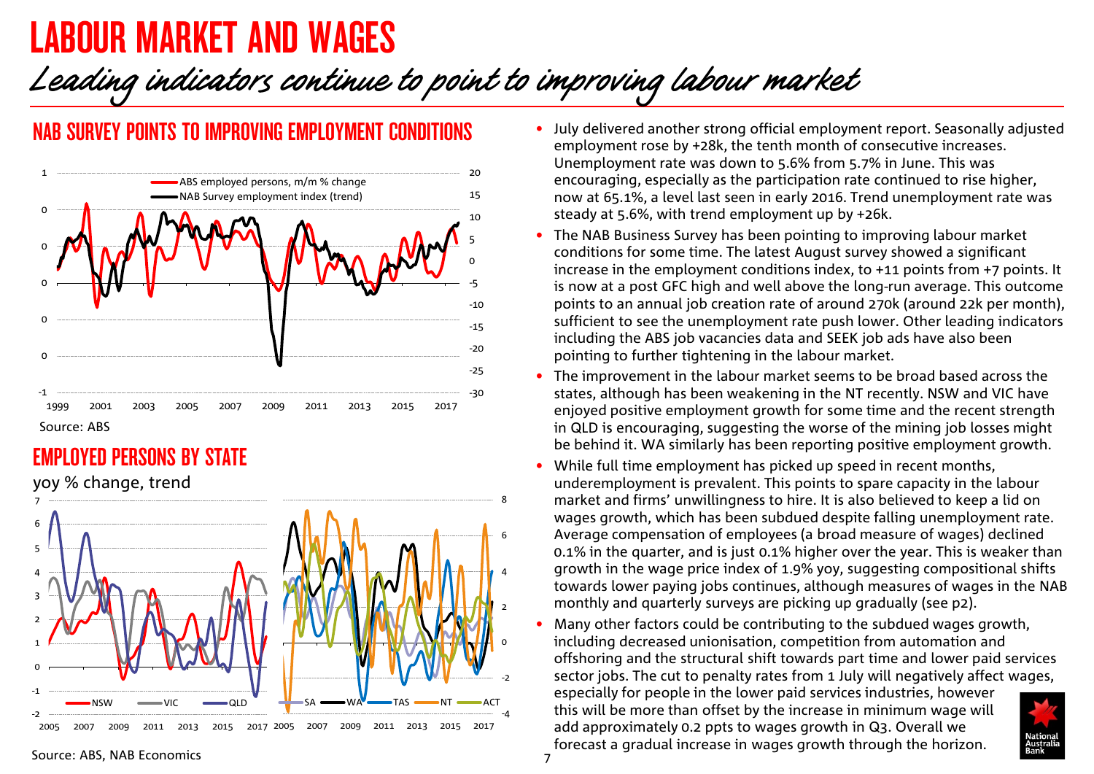### LABOUR MARKET AND WAGES

## Leading indicators continue to point to improving labour market

### NAB SURVEY POINTS TO IMPROVING EMPLOYMENT CONDITIONS



### **EMPLOYED PERSONS BY STATE**



- July delivered another strong official employment report. Seasonally adjusted employment rose by +28k, the tenth month of consecutive increases. Unemployment rate was down to 5.6% from 5.7% in June. This was encouraging, especially as the participation rate continued to rise higher, now at 65.1%, a level last seen in early 2016. Trend unemployment rate was steady at 5.6%, with trend employment up by +26k.
- The NAB Business Survey has been pointing to improving labour market conditions for some time. The latest August survey showed a significant increase in the employment conditions index, to +11 points from +7 points. It is now at a post GFC high and well above the long-run average. This outcome points to an annual job creation rate of around 270k (around 22k per month), sufficient to see the unemployment rate push lower. Other leading indicators including the ABS job vacancies data and SEEK job ads have also been pointing to further tightening in the labour market.
- The improvement in the labour market seems to be broad based across the states, although has been weakening in the NT recently. NSW and VIC have enjoyed positive employment growth for some time and the recent strength in QLD is encouraging, suggesting the worse of the mining job losses might be behind it. WA similarly has been reporting positive employment growth.
- While full time employment has picked up speed in recent months, underemployment is prevalent. This points to spare capacity in the labour market and firms' unwillingness to hire. It is also believed to keep a lid on wages growth, which has been subdued despite falling unemployment rate. Average compensation of employees (a broad measure of wages) declined 0.1% in the quarter, and is just 0.1% higher over the year. This is weaker than growth in the wage price index of 1.9% yoy, suggesting compositional shifts towards lower paying jobs continues, although measures of wages in the NAB monthly and quarterly surveys are picking up gradually (see p2).
- Many other factors could be contributing to the subdued wages growth, including decreased unionisation, competition from automation and offshoring and the structural shift towards part time and lower paid services sector jobs. The cut to penalty rates from 1 July will negatively affect wages,

especially for people in the lower paid services industries, however this will be more than offset by the increase in minimum wage will add approximately 0.2 ppts to wages growth in Q3. Overall we forecast a gradual increase in wages growth through the horizon.



Source: ABS, NAB Economics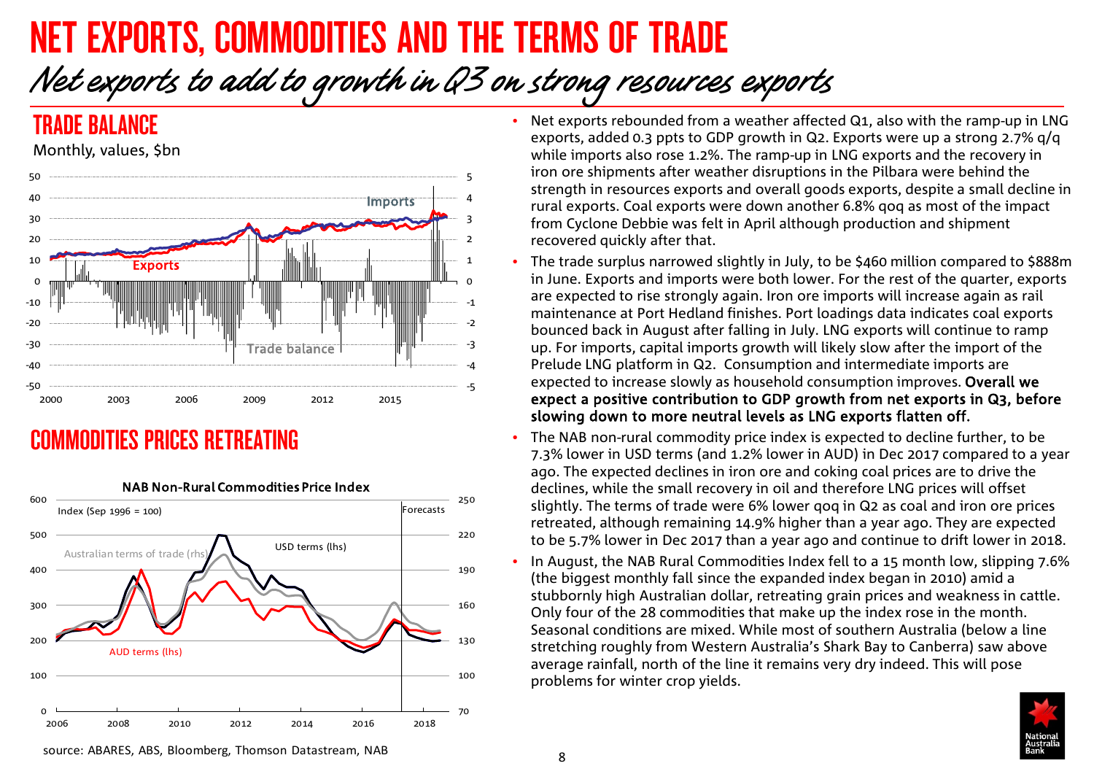# NET EXPORTS, COMMODITIES AND THE TERMS OF TRADE

## Net exports to add to growth in Q3 on strong resources exports

### TRADE BALANCE

Monthly, values, \$bn



### COMMODITIES PRICES RETREATING



- Net exports rebounded from a weather affected Q1, also with the ramp-up in LNG exports, added 0.3 ppts to GDP growth in Q2. Exports were up a strong 2.7% q/q while imports also rose 1.2%. The ramp-up in LNG exports and the recovery in iron ore shipments after weather disruptions in the Pilbara were behind the strength in resources exports and overall goods exports, despite a small decline in rural exports. Coal exports were down another 6.8% qoq as most of the impact from Cyclone Debbie was felt in April although production and shipment recovered quickly after that.
- The trade surplus narrowed slightly in July, to be \$460 million compared to \$888m in June. Exports and imports were both lower. For the rest of the quarter, exports are expected to rise strongly again. Iron ore imports will increase again as rail maintenance at Port Hedland finishes. Port loadings data indicates coal exports bounced back in August after falling in July. LNG exports will continue to ramp up. For imports, capital imports growth will likely slow after the import of the Prelude LNG platform in Q2. Consumption and intermediate imports are expected to increase slowly as household consumption improves. Overall we expect a positive contribution to GDP growth from net exports in Q3, before slowing down to more neutral levels as LNG exports flatten off.
- The NAB non-rural commodity price index is expected to decline further, to be 7.3% lower in USD terms (and 1.2% lower in AUD) in Dec 2017 compared to a year ago. The expected declines in iron ore and coking coal prices are to drive the declines, while the small recovery in oil and therefore LNG prices will offset slightly. The terms of trade were 6% lower qoq in Q2 as coal and iron ore prices retreated, although remaining 14.9% higher than a year ago. They are expected to be 5.7% lower in Dec 2017 than a year ago and continue to drift lower in 2018.
- In August, the NAB Rural Commodities Index fell to a 15 month low, slipping 7.6% (the biggest monthly fall since the expanded index began in 2010) amid a stubbornly high Australian dollar, retreating grain prices and weakness in cattle. Only four of the 28 commodities that make up the index rose in the month. Seasonal conditions are mixed. While most of southern Australia (below a line stretching roughly from Western Australia's Shark Bay to Canberra) saw above average rainfall, north of the line it remains very dry indeed. This will pose problems for winter crop yields.



source: ABARES, ABS, Bloomberg, Thomson Datastream, NAB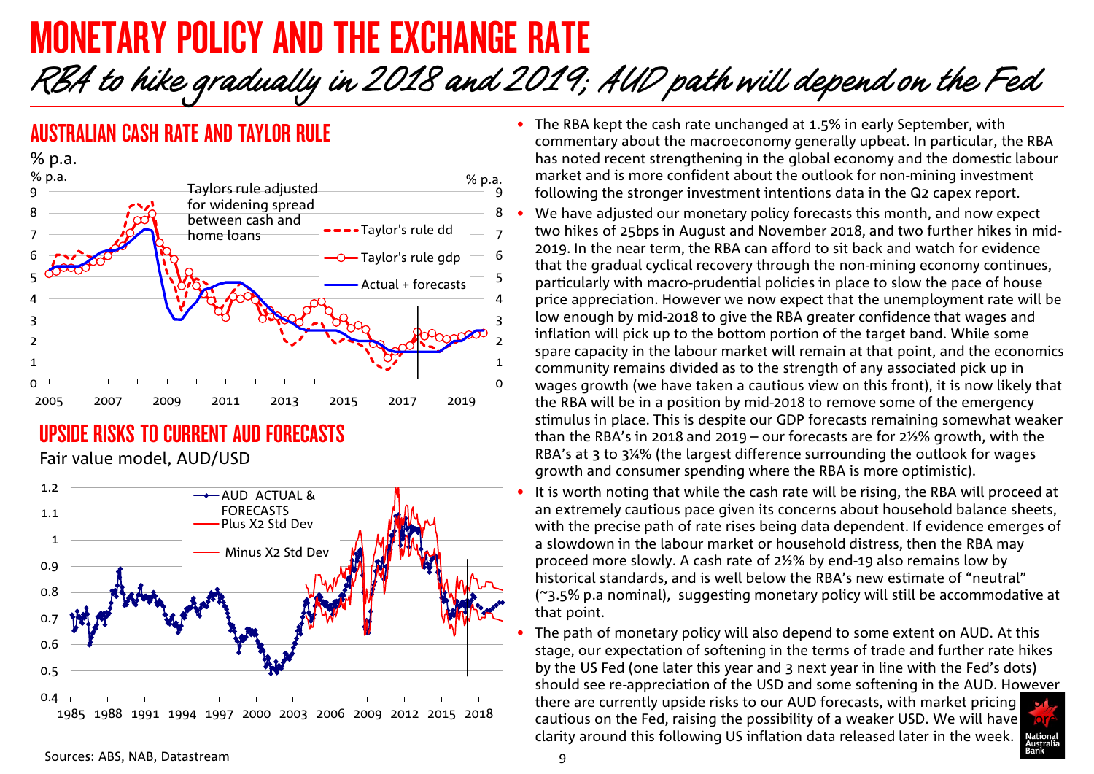# <span id="page-8-0"></span>MONETARY POLICY AND THE EXCHANGE RATE RBA to hike gradually in 2018 and 2019; AUD path will depend on the Fed

### AUSTRALIAN CASH RATE AND TAYLOR RULE



UPSIDE RISKS TO CURRENT AUD FORECASTS

Fair value model, AUD/USD



- The RBA kept the cash rate unchanged at 1.5% in early September, with commentary about the macroeconomy generally upbeat. In particular, the RBA has noted recent strengthening in the global economy and the domestic labour market and is more confident about the outlook for non-mining investment following the stronger investment intentions data in the Q2 capex report.
- We have adjusted our monetary policy forecasts this month, and now expect two hikes of 25bps in August and November 2018, and two further hikes in mid-2019. In the near term, the RBA can afford to sit back and watch for evidence that the gradual cyclical recovery through the non-mining economy continues, particularly with macro-prudential policies in place to slow the pace of house price appreciation. However we now expect that the unemployment rate will be low enough by mid-2018 to give the RBA greater confidence that wages and inflation will pick up to the bottom portion of the target band. While some spare capacity in the labour market will remain at that point, and the economics community remains divided as to the strength of any associated pick up in wages growth (we have taken a cautious view on this front), it is now likely that the RBA will be in a position by mid-2018 to remove some of the emergency stimulus in place. This is despite our GDP forecasts remaining somewhat weaker than the RBA's in 2018 and 2019 – our forecasts are for 2½% growth, with the RBA's at 3 to 3¼% (the largest difference surrounding the outlook for wages growth and consumer spending where the RBA is more optimistic).
- It is worth noting that while the cash rate will be rising, the RBA will proceed at an extremely cautious pace given its concerns about household balance sheets, with the precise path of rate rises being data dependent. If evidence emerges of a slowdown in the labour market or household distress, then the RBA may proceed more slowly. A cash rate of 2½% by end-19 also remains low by historical standards, and is well below the RBA's new estimate of "neutral" (~3.5% p.a nominal), suggesting monetary policy will still be accommodative at that point.

The path of monetary policy will also depend to some extent on AUD. At this stage, our expectation of softening in the terms of trade and further rate hikes by the US Fed (one later this year and 3 next year in line with the Fed's dots) should see re-appreciation of the USD and some softening in the AUD. However there are currently upside risks to our AUD forecasts, with market pricing cautious on the Fed, raising the possibility of a weaker USD. We will have clarity around this following US inflation data released later in the week.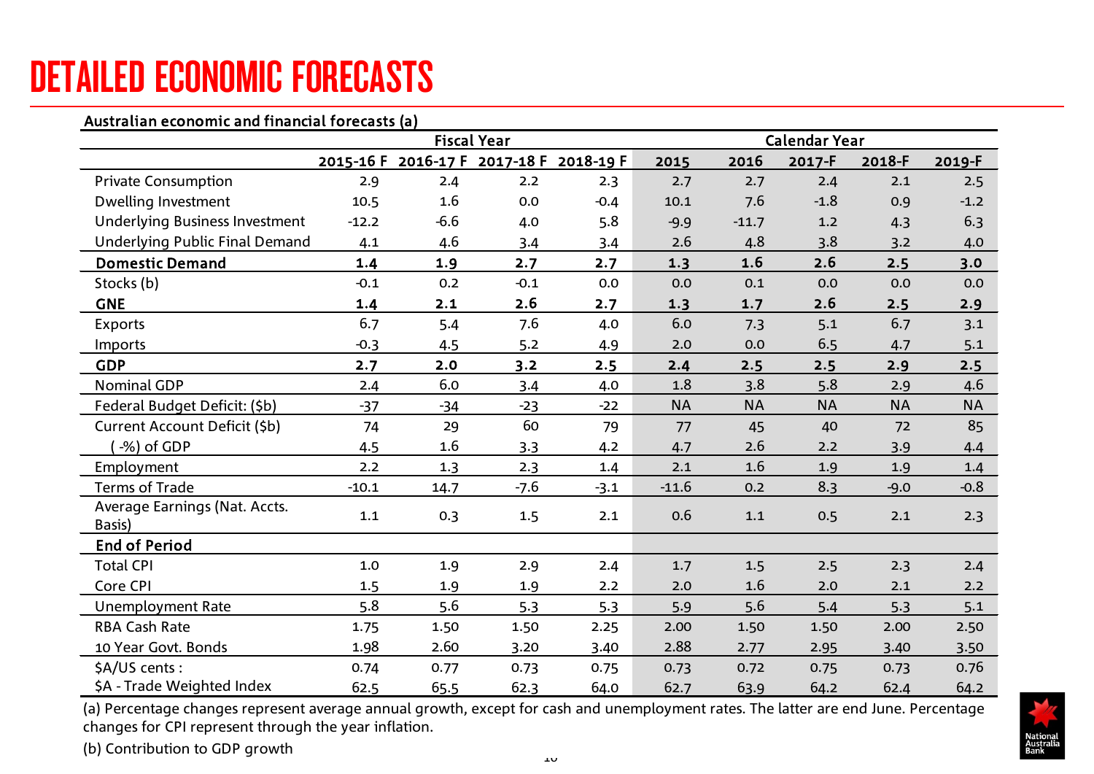# <span id="page-9-0"></span>DETAILED ECONOMIC FORECASTS

### Australian economic and financial forecasts (a)

|                                         |         | <b>Fiscal Year</b>                      |        |        |           | <b>Calendar Year</b> |           |           |           |
|-----------------------------------------|---------|-----------------------------------------|--------|--------|-----------|----------------------|-----------|-----------|-----------|
|                                         |         | 2015-16 F 2016-17 F 2017-18 F 2018-19 F |        |        | 2015      | 2016                 | 2017-F    | 2018-F    | 2019-F    |
| <b>Private Consumption</b>              | 2.9     | 2.4                                     | 2.2    | 2.3    | 2.7       | 2.7                  | 2.4       | 2.1       | 2.5       |
| Dwelling Investment                     | 10.5    | 1.6                                     | 0.0    | $-0.4$ | 10.1      | 7.6                  | $-1.8$    | 0.9       | $-1.2$    |
| <b>Underlying Business Investment</b>   | $-12.2$ | $-6.6$                                  | 4.0    | 5.8    | $-9.9$    | $-11.7$              | 1.2       | 4.3       | 6.3       |
| <b>Underlying Public Final Demand</b>   | 4.1     | 4.6                                     | 3.4    | 3.4    | 2.6       | 4.8                  | 3.8       | 3.2       | 4.0       |
| <b>Domestic Demand</b>                  | 1.4     | 1.9                                     | 2.7    | 2.7    | 1.3       | 1.6                  | 2.6       | 2.5       | 3.0       |
| Stocks (b)                              | $-0.1$  | 0.2                                     | $-0.1$ | 0.0    | 0.0       | 0.1                  | 0.0       | 0.0       | 0.0       |
| <b>GNE</b>                              | 1.4     | 2.1                                     | 2.6    | 2.7    | 1.3       | 1.7                  | 2.6       | 2.5       | 2.9       |
| Exports                                 | 6.7     | 5.4                                     | 7.6    | 4.0    | 6.0       | 7.3                  | 5.1       | 6.7       | 3.1       |
| Imports                                 | $-0.3$  | 4.5                                     | 5.2    | 4.9    | 2.0       | 0.0                  | 6.5       | 4.7       | 5.1       |
| <b>GDP</b>                              | 2.7     | 2.0                                     | 3.2    | 2.5    | 2.4       | 2.5                  | 2.5       | 2.9       | 2.5       |
| <b>Nominal GDP</b>                      | 2.4     | 6.0                                     | 3.4    | 4.0    | 1.8       | 3.8                  | 5.8       | 2.9       | 4.6       |
| Federal Budget Deficit: (\$b)           | $-37$   | $-34$                                   | $-23$  | $-22$  | <b>NA</b> | <b>NA</b>            | <b>NA</b> | <b>NA</b> | <b>NA</b> |
| Current Account Deficit (\$b)           | 74      | 29                                      | 60     | 79     | 77        | 45                   | 40        | 72        | 85        |
| -%) of GDP                              | 4.5     | 1.6                                     | 3.3    | 4.2    | 4.7       | 2.6                  | 2.2       | 3.9       | 4.4       |
| Employment                              | 2.2     | 1.3                                     | 2.3    | 1.4    | 2.1       | 1.6                  | 1.9       | 1.9       | 1.4       |
| <b>Terms of Trade</b>                   | $-10.1$ | 14.7                                    | $-7.6$ | $-3.1$ | $-11.6$   | 0.2                  | 8.3       | $-9.0$    | $-0.8$    |
| Average Earnings (Nat. Accts.<br>Basis) | 1.1     | 0.3                                     | 1.5    | 2.1    | 0.6       | 1.1                  | 0.5       | 2.1       | 2.3       |
| <b>End of Period</b>                    |         |                                         |        |        |           |                      |           |           |           |
| <b>Total CPI</b>                        | $1.0$   | 1.9                                     | 2.9    | 2.4    | 1.7       | 1.5                  | 2.5       | 2.3       | 2.4       |
| Core CPI                                | 1.5     | 1.9                                     | 1.9    | 2.2    | 2.0       | 1.6                  | 2.0       | 2.1       | 2.2       |
| <b>Unemployment Rate</b>                | 5.8     | 5.6                                     | 5.3    | 5.3    | 5.9       | 5.6                  | 5.4       | 5.3       | 5.1       |
| <b>RBA Cash Rate</b>                    | 1.75    | 1.50                                    | 1.50   | 2.25   | 2.00      | 1.50                 | 1.50      | 2.00      | 2.50      |
| 10 Year Govt. Bonds                     | 1.98    | 2.60                                    | 3.20   | 3.40   | 2.88      | 2.77                 | 2.95      | 3.40      | 3.50      |
| \$A/US cents:                           | 0.74    | 0.77                                    | 0.73   | 0.75   | 0.73      | 0.72                 | 0.75      | 0.73      | 0.76      |
| \$A - Trade Weighted Index              | 62.5    | 65.5                                    | 62.3   | 64.0   | 62.7      | 63.9                 | 64.2      | 62.4      | 64.2      |

(a) Percentage changes represent average annual growth, except for cash and unemployment rates. The latter are end June. Percentage changes for CPI represent through the year inflation.

(b) Contribution to GDP growth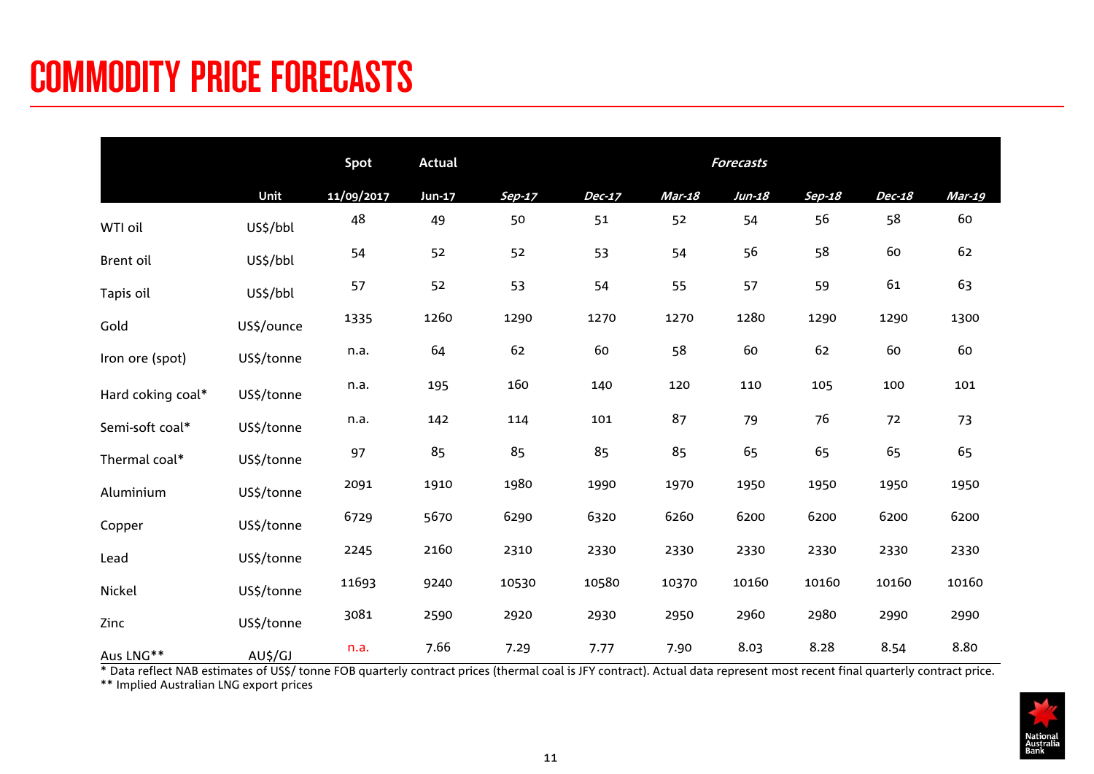# <span id="page-10-0"></span>COMMODITY PRICE FORECASTS

|                   |            | Spot       | <b>Actual</b> |          |               |        | <b>Forecasts</b> |        |               |               |
|-------------------|------------|------------|---------------|----------|---------------|--------|------------------|--------|---------------|---------------|
|                   | Unit       | 11/09/2017 | Jun-17        | $Sep-17$ | <b>Dec-17</b> | Mar-18 | Jun-18           | Sep-18 | <b>Dec-18</b> | <b>Mar-19</b> |
| WTI oil           | US\$/bbl   | 48         | 49            | 50       | 51            | 52     | 54               | 56     | 58            | 60            |
| Brent oil         | US\$/bbl   | 54         | 52            | 52       | 53            | 54     | 56               | 58     | 60            | 62            |
| Tapis oil         | US\$/bbl   | 57         | 52            | 53       | 54            | 55     | 57               | 59     | 61            | 63            |
| Gold              | US\$/ounce | 1335       | 1260          | 1290     | 1270          | 1270   | 1280             | 1290   | 1290          | 1300          |
| Iron ore (spot)   | US\$/tonne | n.a.       | 64            | 62       | 60            | 58     | 60               | 62     | 60            | 60            |
| Hard coking coal* | US\$/tonne | n.a.       | 195           | 160      | 140           | 120    | 110              | 105    | 100           | 101           |
| Semi-soft coal*   | US\$/tonne | n.a.       | 142           | 114      | 101           | 87     | 79               | 76     | 72            | 73            |
| Thermal coal*     | US\$/tonne | 97         | 85            | 85       | 85            | 85     | 65               | 65     | 65            | 65            |
| Aluminium         | US\$/tonne | 2091       | 1910          | 1980     | 1990          | 1970   | 1950             | 1950   | 1950          | 1950          |
| Copper            | US\$/tonne | 6729       | 5670          | 6290     | 6320          | 6260   | 6200             | 6200   | 6200          | 6200          |
| Lead              | US\$/tonne | 2245       | 2160          | 2310     | 2330          | 2330   | 2330             | 2330   | 2330          | 2330          |
| Nickel            | US\$/tonne | 11693      | 9240          | 10530    | 10580         | 10370  | 10160            | 10160  | 10160         | 10160         |
| Zinc              | US\$/tonne | 3081       | 2590          | 2920     | 2930          | 2950   | 2960             | 2980   | 2990          | 2990          |
| Aus LNG**         | AU\$/GJ    | n.a.       | 7.66          | 7.29     | 7.77          | 7.90   | 8.03             | 8.28   | 8.54          | 8.80          |

\* Data reflect NAB estimates of US\$/ tonne FOB quarterly contract prices (thermal coal is JFY contract). Actual data represent most recent final quarterly contract price.

\*\* Implied Australian LNG export prices